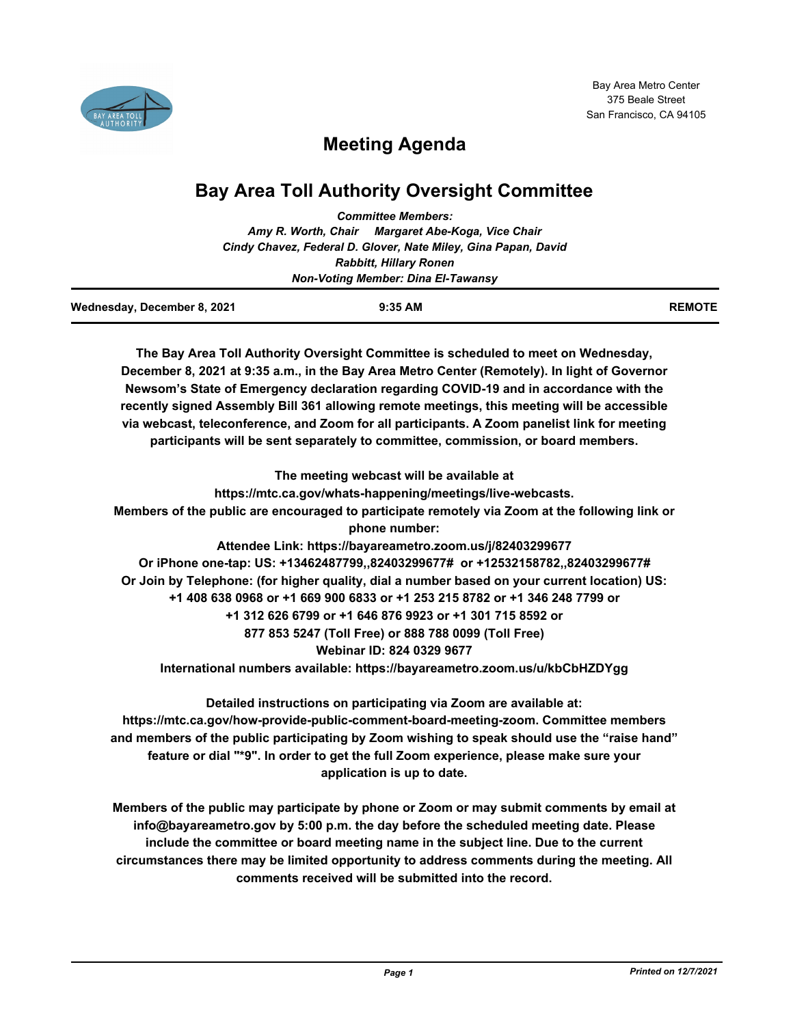

# **Meeting Agenda**

# **Bay Area Toll Authority Oversight Committee**

|  | <b>Committee Members:</b>                                      |
|--|----------------------------------------------------------------|
|  | Amy R. Worth, Chair Margaret Abe-Koga, Vice Chair              |
|  | Cindy Chavez, Federal D. Glover, Nate Miley, Gina Papan, David |
|  | <b>Rabbitt, Hillary Ronen</b>                                  |
|  | <b>Non-Voting Member: Dina El-Tawansy</b>                      |

| Wednesday, December 8, 2021 | 9:35 AM | <b>REMOTE</b> |
|-----------------------------|---------|---------------|
|                             |         |               |

**The Bay Area Toll Authority Oversight Committee is scheduled to meet on Wednesday, December 8, 2021 at 9:35 a.m., in the Bay Area Metro Center (Remotely). In light of Governor Newsom's State of Emergency declaration regarding COVID-19 and in accordance with the recently signed Assembly Bill 361 allowing remote meetings, this meeting will be accessible via webcast, teleconference, and Zoom for all participants. A Zoom panelist link for meeting participants will be sent separately to committee, commission, or board members.**

**The meeting webcast will be available at https://mtc.ca.gov/whats-happening/meetings/live-webcasts. Members of the public are encouraged to participate remotely via Zoom at the following link or phone number: Attendee Link: https://bayareametro.zoom.us/j/82403299677 Or iPhone one-tap: US: +13462487799,,82403299677# or +12532158782,,82403299677# Or Join by Telephone: (for higher quality, dial a number based on your current location) US: +1 408 638 0968 or +1 669 900 6833 or +1 253 215 8782 or +1 346 248 7799 or +1 312 626 6799 or +1 646 876 9923 or +1 301 715 8592 or 877 853 5247 (Toll Free) or 888 788 0099 (Toll Free) Webinar ID: 824 0329 9677 International numbers available: https://bayareametro.zoom.us/u/kbCbHZDYgg**

**Detailed instructions on participating via Zoom are available at: https://mtc.ca.gov/how-provide-public-comment-board-meeting-zoom. Committee members and members of the public participating by Zoom wishing to speak should use the "raise hand" feature or dial "\*9". In order to get the full Zoom experience, please make sure your application is up to date.**

**Members of the public may participate by phone or Zoom or may submit comments by email at info@bayareametro.gov by 5:00 p.m. the day before the scheduled meeting date. Please include the committee or board meeting name in the subject line. Due to the current circumstances there may be limited opportunity to address comments during the meeting. All comments received will be submitted into the record.**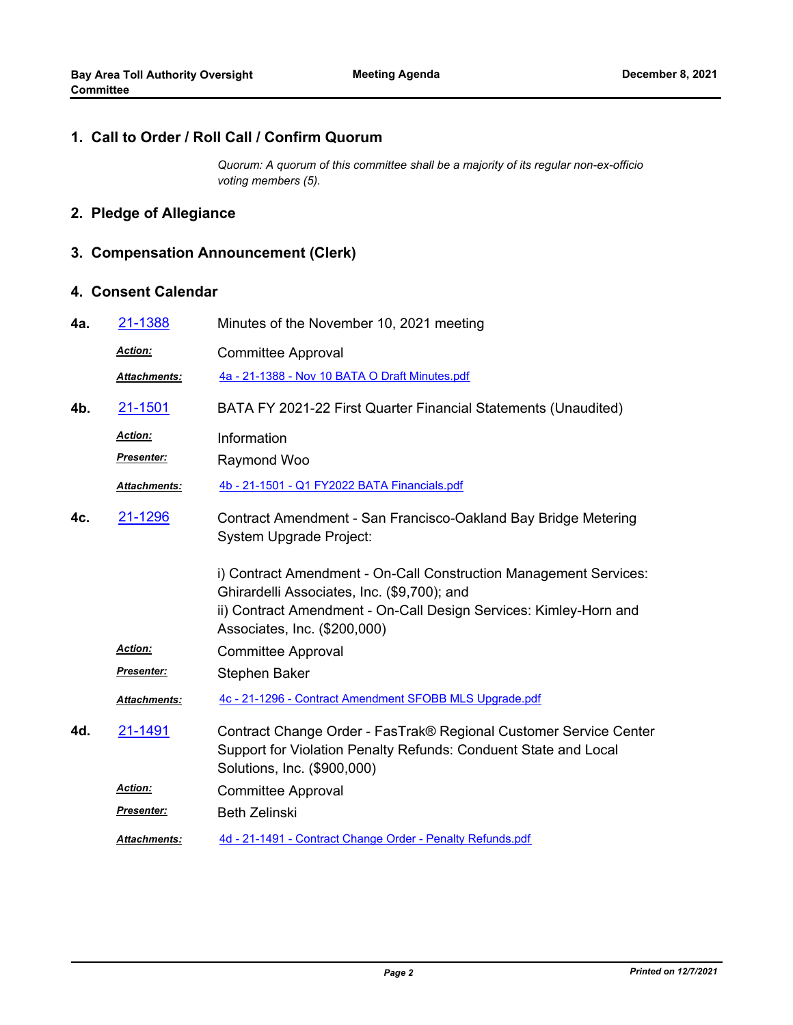### **1. Call to Order / Roll Call / Confirm Quorum**

*Quorum: A quorum of this committee shall be a majority of its regular non-ex-officio voting members (5).*

## **2. Pledge of Allegiance**

# **3. Compensation Announcement (Clerk)**

### **4. Consent Calendar**

| 4a. | 21-1388             | Minutes of the November 10, 2021 meeting                                                                                                                                                                              |
|-----|---------------------|-----------------------------------------------------------------------------------------------------------------------------------------------------------------------------------------------------------------------|
|     | Action:             | <b>Committee Approval</b>                                                                                                                                                                                             |
|     | Attachments:        | 4a - 21-1388 - Nov 10 BATA O Draft Minutes.pdf                                                                                                                                                                        |
| 4b. | 21-1501             | BATA FY 2021-22 First Quarter Financial Statements (Unaudited)                                                                                                                                                        |
|     | <b>Action:</b>      | Information                                                                                                                                                                                                           |
|     | Presenter:          | Raymond Woo                                                                                                                                                                                                           |
|     | Attachments:        | 4b - 21-1501 - Q1 FY2022 BATA Financials.pdf                                                                                                                                                                          |
| 4c. | 21-1296             | Contract Amendment - San Francisco-Oakland Bay Bridge Metering<br><b>System Upgrade Project:</b>                                                                                                                      |
|     |                     | i) Contract Amendment - On-Call Construction Management Services:<br>Ghirardelli Associates, Inc. (\$9,700); and<br>ii) Contract Amendment - On-Call Design Services: Kimley-Horn and<br>Associates, Inc. (\$200,000) |
|     | Action:             | <b>Committee Approval</b>                                                                                                                                                                                             |
|     | Presenter:          | <b>Stephen Baker</b>                                                                                                                                                                                                  |
|     | Attachments:        | 4c - 21-1296 - Contract Amendment SFOBB MLS Upgrade.pdf                                                                                                                                                               |
| 4d. | 21-1491             | Contract Change Order - FasTrak® Regional Customer Service Center<br>Support for Violation Penalty Refunds: Conduent State and Local<br>Solutions, Inc. (\$900,000)                                                   |
|     | <b>Action:</b>      | <b>Committee Approval</b>                                                                                                                                                                                             |
|     | <b>Presenter:</b>   | <b>Beth Zelinski</b>                                                                                                                                                                                                  |
|     | <b>Attachments:</b> | 4d - 21-1491 - Contract Change Order - Penalty Refunds.pdf                                                                                                                                                            |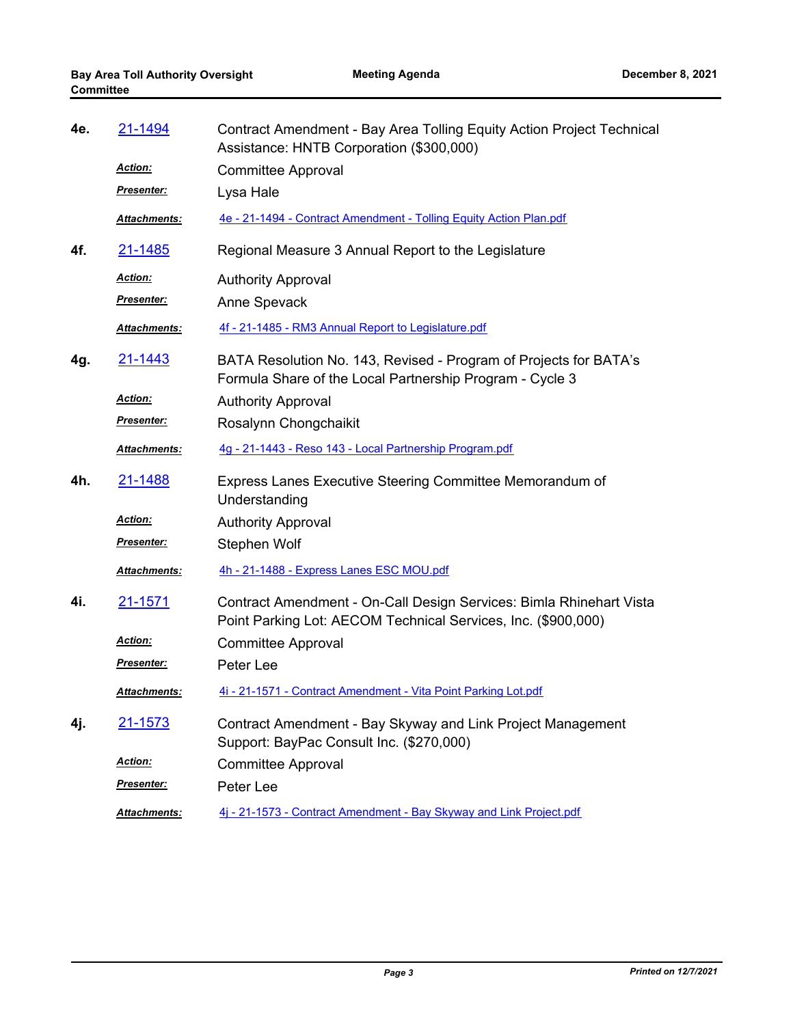| 4e. | 21-1494             | Contract Amendment - Bay Area Tolling Equity Action Project Technical<br>Assistance: HNTB Corporation (\$300,000)                    |
|-----|---------------------|--------------------------------------------------------------------------------------------------------------------------------------|
|     | Action:             | <b>Committee Approval</b>                                                                                                            |
|     | <u>Presenter:</u>   | Lysa Hale                                                                                                                            |
|     | Attachments:        | 4e - 21-1494 - Contract Amendment - Tolling Equity Action Plan.pdf                                                                   |
| 4f. | 21-1485             | Regional Measure 3 Annual Report to the Legislature                                                                                  |
|     | Action:             | <b>Authority Approval</b>                                                                                                            |
|     | <b>Presenter:</b>   | Anne Spevack                                                                                                                         |
|     | Attachments:        | 4f - 21-1485 - RM3 Annual Report to Legislature.pdf                                                                                  |
| 4g. | <u>21-1443</u>      | BATA Resolution No. 143, Revised - Program of Projects for BATA's<br>Formula Share of the Local Partnership Program - Cycle 3        |
|     | <b>Action:</b>      | <b>Authority Approval</b>                                                                                                            |
|     | <u>Presenter:</u>   | Rosalynn Chongchaikit                                                                                                                |
|     | Attachments:        | 4g - 21-1443 - Reso 143 - Local Partnership Program.pdf                                                                              |
| 4h. | 21-1488             | Express Lanes Executive Steering Committee Memorandum of<br>Understanding                                                            |
|     | Action:             | <b>Authority Approval</b>                                                                                                            |
|     | Presenter:          | Stephen Wolf                                                                                                                         |
|     | Attachments:        | 4h - 21-1488 - Express Lanes ESC MOU.pdf                                                                                             |
| 4i. | <u>21-1571</u>      | Contract Amendment - On-Call Design Services: Bimla Rhinehart Vista<br>Point Parking Lot: AECOM Technical Services, Inc. (\$900,000) |
|     | Action:             | Committee Approval                                                                                                                   |
|     | <b>Presenter:</b>   | Peter Lee                                                                                                                            |
|     | <b>Attachments:</b> | 4i - 21-1571 - Contract Amendment - Vita Point Parking Lot.pdf                                                                       |
| 4j. | 21-1573             | Contract Amendment - Bay Skyway and Link Project Management<br>Support: BayPac Consult Inc. (\$270,000)                              |
|     | <b>Action:</b>      | <b>Committee Approval</b>                                                                                                            |
|     | Presenter:          | Peter Lee                                                                                                                            |
|     | Attachments:        | 4j - 21-1573 - Contract Amendment - Bay Skyway and Link Project.pdf                                                                  |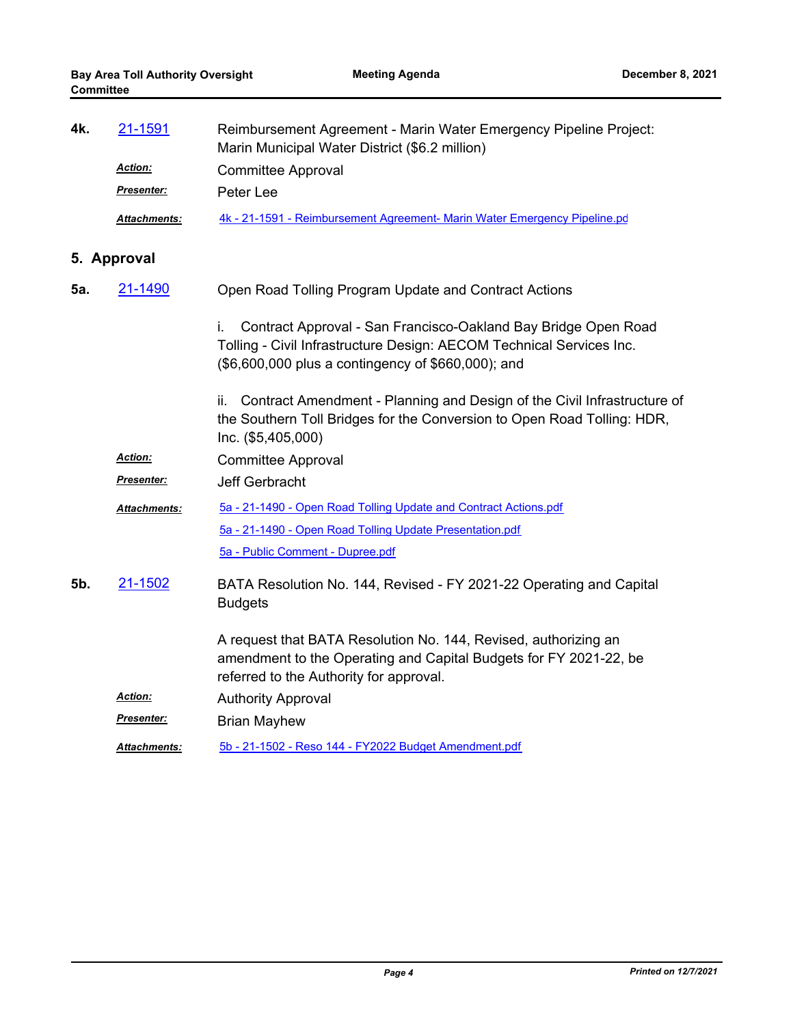| 4k. | 21-1591             | Reimbursement Agreement - Marin Water Emergency Pipeline Project:<br>Marin Municipal Water District (\$6.2 million)                                                                                |
|-----|---------------------|----------------------------------------------------------------------------------------------------------------------------------------------------------------------------------------------------|
|     | Action:             | <b>Committee Approval</b>                                                                                                                                                                          |
|     | Presenter:          | Peter Lee                                                                                                                                                                                          |
|     | Attachments:        | 4k - 21-1591 - Reimbursement Agreement- Marin Water Emergency Pipeline.pd                                                                                                                          |
|     | 5. Approval         |                                                                                                                                                                                                    |
| 5а. | 21-1490             | Open Road Tolling Program Update and Contract Actions                                                                                                                                              |
|     |                     | Contract Approval - San Francisco-Oakland Bay Bridge Open Road<br>İ.<br>Tolling - Civil Infrastructure Design: AECOM Technical Services Inc.<br>(\$6,600,000 plus a contingency of \$660,000); and |
|     |                     | Contract Amendment - Planning and Design of the Civil Infrastructure of<br>ii.<br>the Southern Toll Bridges for the Conversion to Open Road Tolling: HDR,<br>Inc. (\$5,405,000)                    |
|     | <b>Action:</b>      | <b>Committee Approval</b>                                                                                                                                                                          |
|     | Presenter:          | <b>Jeff Gerbracht</b>                                                                                                                                                                              |
|     | <b>Attachments:</b> | 5a - 21-1490 - Open Road Tolling Update and Contract Actions.pdf                                                                                                                                   |
|     |                     | 5a - 21-1490 - Open Road Tolling Update Presentation.pdf                                                                                                                                           |
|     |                     | 5a - Public Comment - Dupree.pdf                                                                                                                                                                   |
| 5b. | 21-1502             | BATA Resolution No. 144, Revised - FY 2021-22 Operating and Capital<br><b>Budgets</b>                                                                                                              |
|     |                     | A request that BATA Resolution No. 144, Revised, authorizing an<br>amendment to the Operating and Capital Budgets for FY 2021-22, be<br>referred to the Authority for approval.                    |
|     | <u>Action:</u>      | <b>Authority Approval</b>                                                                                                                                                                          |
|     | Presenter:          | <b>Brian Mayhew</b>                                                                                                                                                                                |
|     | <b>Attachments:</b> | 5b - 21-1502 - Reso 144 - FY2022 Budget Amendment.pdf                                                                                                                                              |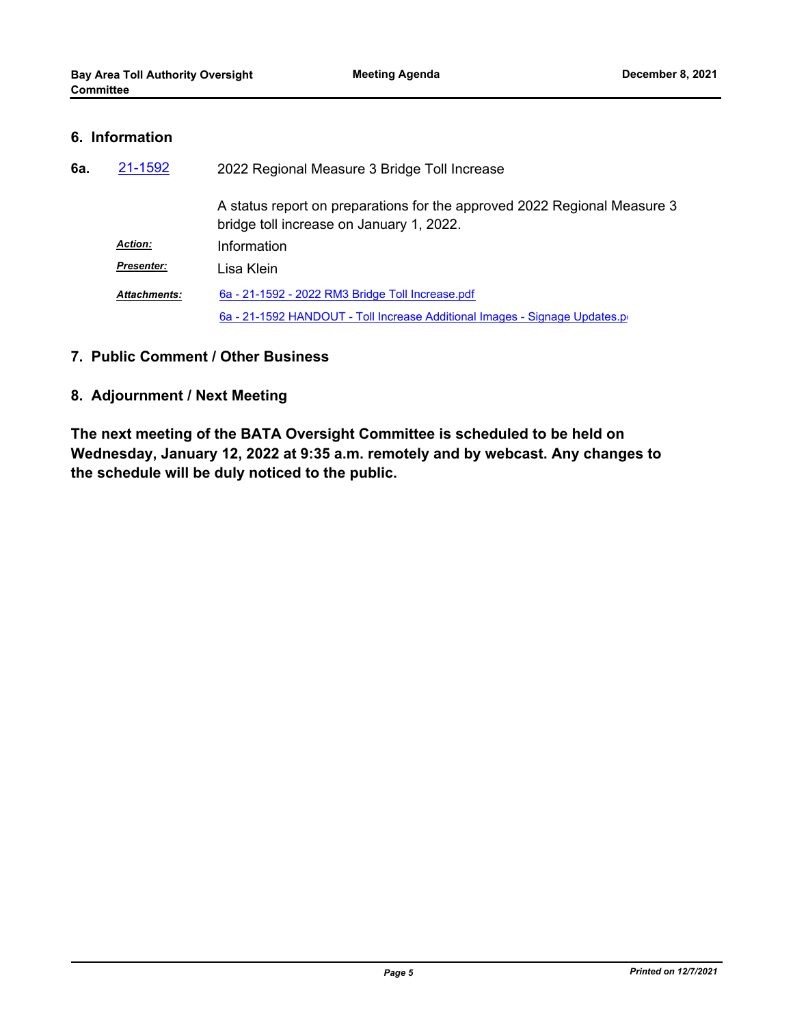### **6. Information**

| 6а. | 21-1592<br>2022 Regional Measure 3 Bridge Toll Increase |                                                                                                                      |
|-----|---------------------------------------------------------|----------------------------------------------------------------------------------------------------------------------|
|     |                                                         | A status report on preparations for the approved 2022 Regional Measure 3<br>bridge toll increase on January 1, 2022. |
|     | <b>Action:</b>                                          | Information                                                                                                          |
|     | <b>Presenter:</b>                                       | Lisa Klein                                                                                                           |
|     | <b>Attachments:</b>                                     | 6a - 21-1592 - 2022 RM3 Bridge Toll Increase.pdf                                                                     |
|     |                                                         | 6a - 21-1592 HANDOUT - Toll Increase Additional Images - Signage Updates.p                                           |

## **7. Public Comment / Other Business**

## **8. Adjournment / Next Meeting**

**The next meeting of the BATA Oversight Committee is scheduled to be held on Wednesday, January 12, 2022 at 9:35 a.m. remotely and by webcast. Any changes to the schedule will be duly noticed to the public.**